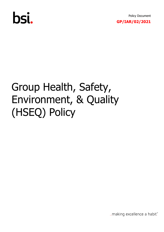

Policy Document **GP/IAR/02/2021**

# Group Health, Safety, Environment, & Quality (HSEQ) Policy

... making excellence a habit."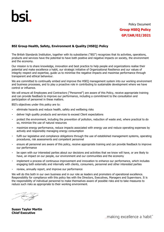### Policy Document **Group HSEQ Policy GP/IAR/02/2021**

#### **BSI Group Health, Safety, Environment & Quality (HSEQ) Policy**

The British Standards Institution, together with its subsidiaries ("BSI") recognizes that its activities, operations, products and services have the potential to have both positive and negative impacts on society, the environment and the economy.

Our mission is to share knowledge, innovation and best practice to help people and organizations realise their potential and make excellence a habit, our strategic initiative of Organizational Resilience and our values of integrity respect and expertise, guide us to minimise the negative impacts and maximise performance through transparent and ethical behaviour.

We are committed to continually embed and improve the HSEO management system into our working environment and business processes, and to play a proactive role in contributing to sustainable development where we have control or influence.

We will ensure all Employees and Contractors ("Personnel") are aware of this Policy, receive appropriate training and can provide feedback to improve our performance, including a commitment to the consultation and participation of personnel in these matters.

BSI's objectives under this policy are to:

- eliminate hazards and reduce health, safety and wellbeing risks
- deliver high quality products and services to exceed Client expectations
- protect the environment, including the prevention of pollution, reduction of waste and, where practical to do  $\blacksquare$ so, minimize the use of natural resources
- j, maximize energy performance, reduce impacts associated with energy use and reduce operating expenses by actively and responsibly managing energy consumption
- fulfil our legislative and compliance obligations through the use of established management systems, operating procedures, risk assessments and competent personnel
- ensure all personnel are aware of this policy, receive appropriate training and can provide feedback to improve  $\overline{\phantom{a}}$ our performance
- be open with our interested parties about our decisions and activities that we know will have, or are likely to à. have, an impact on our people, our environment and our communities and the economy
- implement a process of continuous improvement and innovation to enhance our performance, which includes engaging both externally and internally with clients, consumers, personnel and other interested parties
- review, annually report, and improve our performance

We will do this both in our own business and in our role as leaders and promoters of operational excellence. Responsibility for compliance with this policy lies with the Directors, Executives, Managers and Supervisors. It is the responsibility of individual personnel to make themselves aware of possible risks and to take measures to reduce such risks as appropriate to their working environment.

**Susan Taylor Martin Chief Executive**

"...making excellence a habit.